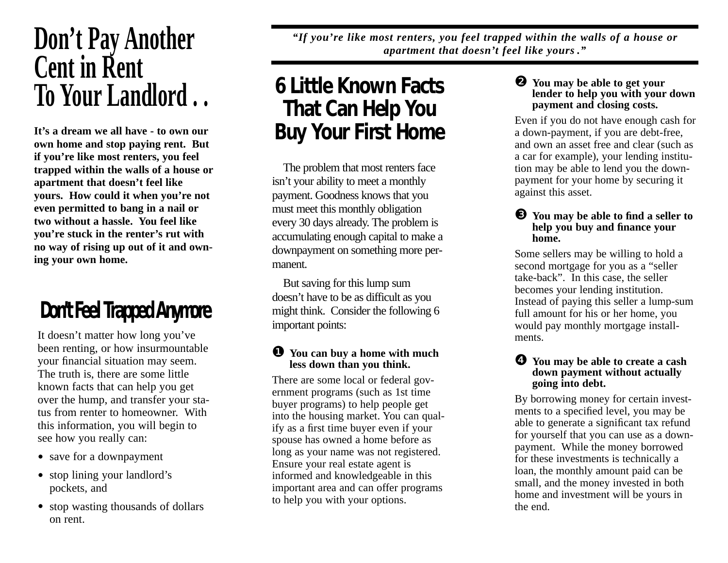# **Don't Pay Another Cent in Rent To Your Landlord . .**

**It's a dream we all have - to own our own home and stop paying rent. But if you're like most renters, you feel trapped within the walls of a house or apartment that doesn't feel like yours. How could it when you're not even permitted to bang in a nail or two without a hassle. You feel like you're stuck in the renter's rut with no way of rising up out of it and owning your own home.** 

## **Don't Feel Trapped Anymore**

It doesn't matter how long you've been renting, or how insurmountable your financial situation may seem. The truth is, there are some little known facts that can help you get over the hump, and transfer your status from renter to homeowner. With this information, you will begin to see how you really can:

- save for a downpayment
- stop lining your landlord's pockets, and
- stop wasting thousands of dollars on rent.

*"If you're like most renters, you feel trapped within the walls of a house or apartment that doesn't feel like yours ."*

### **6 Little Known Facts That Can Help You Buy Your First Home**

The problem that most renters face isn't your ability to meet a monthly payment. Goodness knows that you must meet this monthly obligation every 30 days already. The problem is accumulating enough capital to make a downpayment on something more permanent.

But saving for this lump sum doesn't have to be as difficult as you might think. Consider the following 6 important points:

#### ❶ **You can buy a home with much less down than you think.**

There are some local or federal government programs (such as 1st time buyer programs) to help people get into the housing market. You can qualify as a first time buyer even if your spouse has owned a home before as long as your name was not registered. Ensure your real estate agent is informed and knowledgeable in this important area and can offer programs to help you with your options.

❷ **You may be able to get your lender to help you with your down payment and closing costs.** 

Even if you do not have enough cash for a down-payment, if you are debt-free, and own an asset free and clear (such as a car for example), your lending institution may be able to lend you the downpayment for your home by securing it against this asset.

#### ❸ **You may be able to find a seller to help you buy and finance your home.**

Some sellers may be willing to hold a second mortgage for you as a "seller take-back". In this case, the seller becomes your lending institution. Instead of paying this seller a lump-sum full amount for his or her home, you would pay monthly mortgage installments.

#### ❹ **You may be able to create a cash down payment without actually going into debt.**

By borrowing money for certain investments to a specified level, you may be able to generate a significant tax refund for yourself that you can use as a downpayment. While the money borrowed for these investments is technically a loan, the monthly amount paid can be small, and the money invested in both home and investment will be yours in the end.